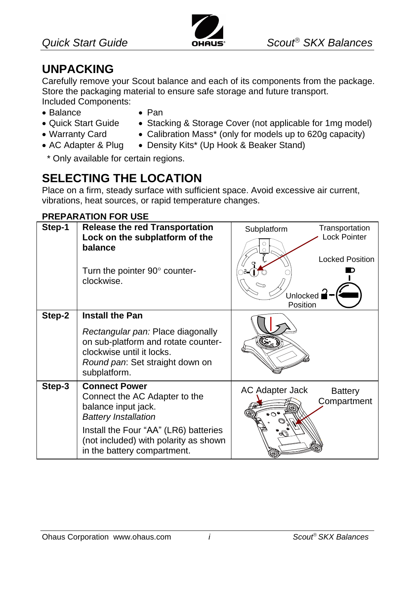

### **UNPACKING**

Carefully remove your Scout balance and each of its components from the package. Store the packaging material to ensure safe storage and future transport. Included Components:

- Balance Pan
	-
- 
- 
- Quick Start Guide Stacking & Storage Cover (not applicable for 1mg model)
- 
- Warranty Card Calibration Mass<sup>\*</sup> (only for models up to 620g capacity)
- AC Adapter & Plug Density Kits\* (Up Hook & Beaker Stand)

\* Only available for certain regions.

# **SELECTING THE LOCATION**

Place on a firm, steady surface with sufficient space. Avoid excessive air current, vibrations, heat sources, or rapid temperature changes.

#### **PREPARATION FOR USE**

| Step-1 | <b>Release the red Transportation</b><br>Lock on the subplatform of the<br>balance<br>Turn the pointer 90° counter-<br>clockwise.                                                                                            | Subplatform<br>Unlocked $\mathbf{P}$<br>Position | Transportation<br>Lock Pointer<br><b>Locked Position</b> |
|--------|------------------------------------------------------------------------------------------------------------------------------------------------------------------------------------------------------------------------------|--------------------------------------------------|----------------------------------------------------------|
| Step-2 | <b>Install the Pan</b><br>Rectangular pan: Place diagonally<br>on sub-platform and rotate counter-<br>clockwise until it locks.<br>Round pan: Set straight down on<br>subplatform.                                           |                                                  |                                                          |
| Step-3 | <b>Connect Power</b><br>Connect the AC Adapter to the<br>balance input jack.<br><b>Battery Installation</b><br>Install the Four "AA" (LR6) batteries<br>(not included) with polarity as shown<br>in the battery compartment. | AC Adapter Jack<br>•೧°                           | <b>Battery</b><br>Compartment                            |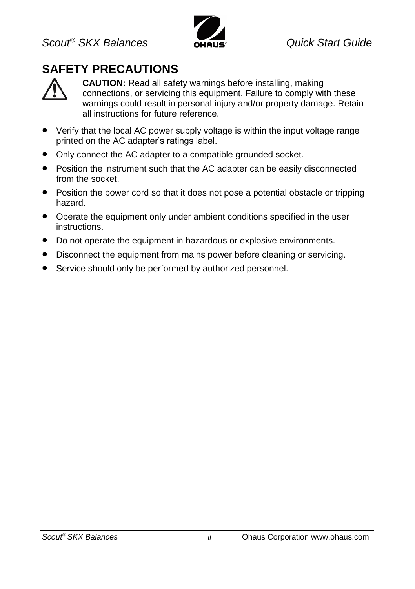

### **SAFETY PRECAUTIONS**



**CAUTION:** Read all safety warnings before installing, making connections, or servicing this equipment. Failure to comply with these warnings could result in personal injury and/or property damage. Retain all instructions for future reference.

- Verify that the local AC power supply voltage is within the input voltage range printed on the AC adapter's ratings label.
- Only connect the AC adapter to a compatible grounded socket.
- Position the instrument such that the AC adapter can be easily disconnected from the socket.
- Position the power cord so that it does not pose a potential obstacle or tripping hazard.
- Operate the equipment only under ambient conditions specified in the user instructions.
- Do not operate the equipment in hazardous or explosive environments.
- Disconnect the equipment from mains power before cleaning or servicing.
- Service should only be performed by authorized personnel.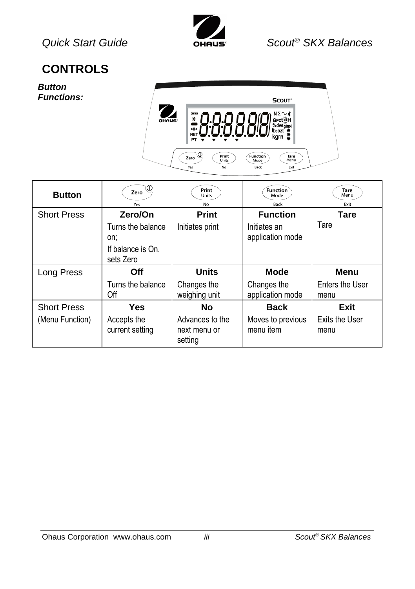

### **CONTROLS**

*Button Functions:*



| <b>Button</b>      | Zero<br>Yes                                                | Print<br>Units<br>No         | <b>Function</b><br>Mode<br>Back  | Tare<br>Menu<br>Exit    |
|--------------------|------------------------------------------------------------|------------------------------|----------------------------------|-------------------------|
| <b>Short Press</b> | Zero/On                                                    | <b>Print</b>                 | <b>Function</b>                  | Tare                    |
|                    | Turns the balance<br>on:<br>If balance is On.<br>sets Zero | Initiates print              | Initiates an<br>application mode | Tare                    |
|                    |                                                            |                              |                                  |                         |
| Long Press         | Off                                                        | <b>Units</b>                 | <b>Mode</b>                      | Menu                    |
|                    | Turns the balance<br>Off                                   | Changes the<br>weighing unit | Changes the<br>application mode  | Enters the User<br>menu |
| <b>Short Press</b> | Yes                                                        | No                           | <b>Back</b>                      | Exit                    |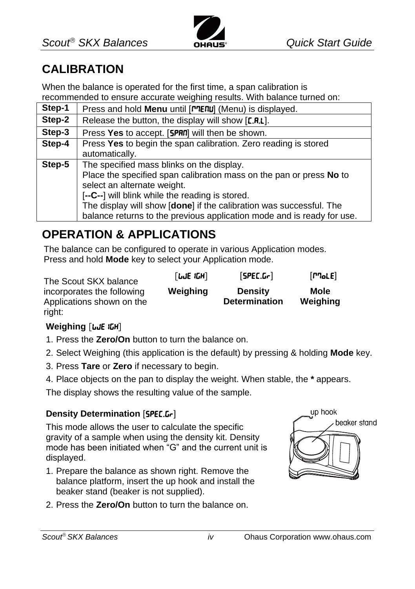

### **CALIBRATION**

When the balance is operated for the first time, a span calibration is recommended to ensure accurate weighing results. With balance turned on:

| Step-1 | Press and hold Menu until [MERU] (Menu) is displayed.                  |
|--------|------------------------------------------------------------------------|
| Step-2 | Release the button, the display will show [C.R.L].                     |
| Step-3 | Press Yes to accept. [SPAN] will then be shown.                        |
| Step-4 | Press Yes to begin the span calibration. Zero reading is stored        |
|        | automatically.                                                         |
| Step-5 | The specified mass blinks on the display.                              |
|        | Place the specified span calibration mass on the pan or press No to    |
|        | select an alternate weight.                                            |
|        | [--C--] will blink while the reading is stored.                        |
|        | The display will show [done] if the calibration was successful. The    |
|        | balance returns to the previous application mode and is ready for use. |

### **OPERATION & APPLICATIONS**

The balance can be configured to operate in various Application modes. Press and hold **Mode** key to select your Application mode.

The Scout SKX balance incorporates the following Applications shown on the right:

# **Weighing [we]**

- 1. Press the **Zero/On** button to turn the balance on.
- 2. Select Weighing (this application is the default) by pressing & holding **Mode** key.

**Weighing Density** 

 $[LJE IGH]$   $[SPECLGr]$   $[PToLE]$ 

**Determination**

- 3. Press **Tare** or **Zero** if necessary to begin.
- 4. Place objects on the pan to display the weight. When stable, the **\*** appears.

The display shows the resulting value of the sample.

#### **Density Determination** [SPEC.Gr]

This mode allows the user to calculate the specific gravity of a sample when using the density kit. Density mode has been initiated when "G" and the current unit is displayed.

- 1. Prepare the balance as shown right. Remove the balance platform, insert the up hook and install the beaker stand (beaker is not supplied).
- 2. Press the **Zero/On** button to turn the balance on.



**Mole Weighing**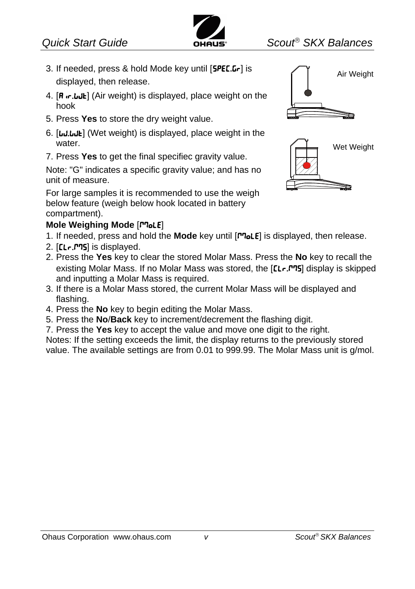

- 3. If needed, press & hold Mode key until [SPEC.Gr] is displayed, then release.
- 4. [**R**  $\cdot$ **.**  $\cdot$ **.**  $\cdot$ **.**  $\cdot$  (Air weight) is displayed, place weight on the hook
- 5. Press **Yes** to store the dry weight value.
- 6. [WI.WH] (Wet weight) is displayed, place weight in the water.
- 7. Press **Yes** to get the final specifiec gravity value.

Note: "G" indicates a specific gravity value; and has no unit of measure.

For large samples it is recommended to use the weigh below feature (weigh below hook located in battery compartment).

#### **Mole Weighing Mode [Pole]**

- 1. If needed, press and hold the **Mode** key until [ $P$ **]** is displayed, then release.
- 2.  $[LLr.T$ <sup>75</sup>] is displayed.
- 2. Press the **Yes** key to clear the stored Molar Mass. Press the **No** key to recall the existing Molar Mass. If no Molar Mass was stored, the [CLr.PTS] display is skipped and inputting a Molar Mass is required.
- 3. If there is a Molar Mass stored, the current Molar Mass will be displayed and flashing.
- 4. Press the **No** key to begin editing the Molar Mass.
- 5. Press the **No**/**Back** key to increment/decrement the flashing digit.
- 7. Press the **Yes** key to accept the value and move one digit to the right.

Notes: If the setting exceeds the limit, the display returns to the previously stored value. The available settings are from 0.01 to 999.99. The Molar Mass unit is g/mol.



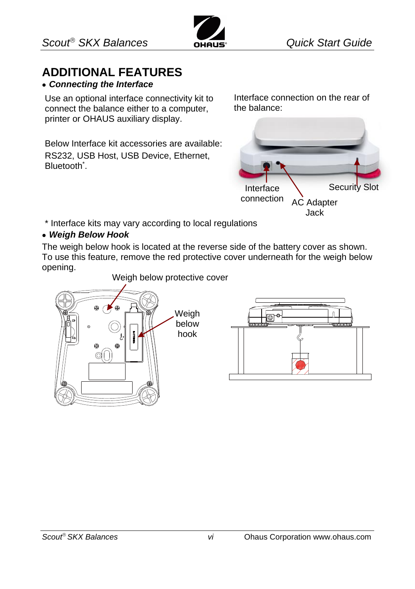

# **ADDITIONAL FEATURES**

#### *Connecting the Interface*

Use an optional interface connectivity kit to connect the balance either to a computer, printer or OHAUS auxiliary display.

Below Interface kit accessories are available: RS232, USB Host, USB Device, Ethernet, Bluetooth<sup>\*</sup>.

Interface connection on the rear of the balance:



\* Interface kits may vary according to local regulations

#### *Weigh Below Hook*

The weigh below hook is located at the reverse side of the battery cover as shown. To use this feature, remove the red protective cover underneath for the weigh below opening.



Weigh below protective cover

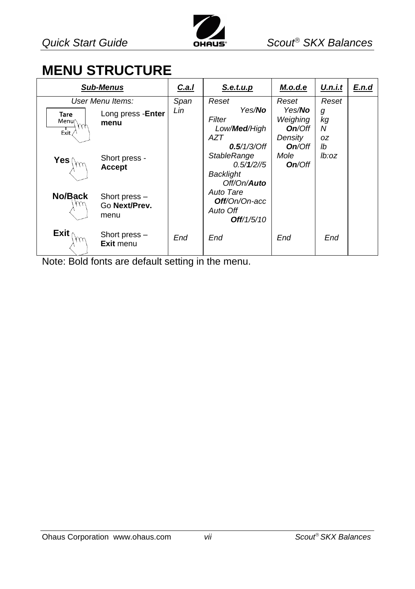

# **MENU STRUCTURE**

|                                                | <b>Sub-Menus</b>                       | C.a.I | S.e.t.u.p                                                                      | M.o.d.e                                                   | U.n.i.t                  | E.n.d |
|------------------------------------------------|----------------------------------------|-------|--------------------------------------------------------------------------------|-----------------------------------------------------------|--------------------------|-------|
|                                                | User Menu Items:                       | Span  | Reset                                                                          | Reset                                                     | Reset                    |       |
| <b>Tare</b><br>Menu<br>$\gamma\gamma$<br>Exit. | Long press - Enter<br>menu             | Lin   | Yes/ <b>No</b><br>Filter<br>Low/ <b>Med</b> /High<br>AZT<br>$0.5/1/3$ /Off     | Yes/ <b>No</b><br>Weighing<br>On/Off<br>Density<br>On/Off | g<br>kg<br>N<br>0Z<br>lb |       |
| Yes (                                          | Short press -<br>Accept                |       | <b>StableRange</b><br>$0.5/1/2$ //5<br><b>Backlight</b><br>Off/On/ <b>Auto</b> | Mole<br>On/Off                                            | lb:oz                    |       |
| No/Back                                        | Short press -<br>Go Next/Prev.<br>menu |       | Auto Tare<br>Off/On/On-acc<br>Auto Off<br>Off/1/5/10                           |                                                           |                          |       |
| Exit                                           | Short press $-$<br>Exit menu           | End   | End                                                                            | End                                                       | End                      |       |

Note: Bold fonts are default setting in the menu.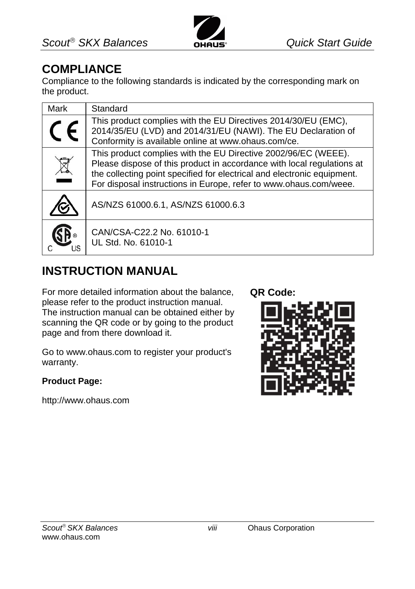

### **COMPLIANCE**

Compliance to the following standards is indicated by the corresponding mark on the product.

| Mark | Standard                                                                                                                                                                                                                                                                                 |
|------|------------------------------------------------------------------------------------------------------------------------------------------------------------------------------------------------------------------------------------------------------------------------------------------|
|      | This product complies with the EU Directives 2014/30/EU (EMC),<br>2014/35/EU (LVD) and 2014/31/EU (NAWI). The EU Declaration of<br>Conformity is available online at www.ohaus.com/ce.                                                                                                   |
|      | This product complies with the EU Directive 2002/96/EC (WEEE).<br>Please dispose of this product in accordance with local regulations at<br>the collecting point specified for electrical and electronic equipment.<br>For disposal instructions in Europe, refer to www.ohaus.com/weee. |
|      | AS/NZS 61000.6.1, AS/NZS 61000.6.3                                                                                                                                                                                                                                                       |
|      | CAN/CSA-C22.2 No. 61010-1<br>UL Std. No. 61010-1                                                                                                                                                                                                                                         |

### **INSTRUCTION MANUAL**

For more detailed information about the balance, please refer to the product instruction manual. The instruction manual can be obtained either by scanning the QR code or by going to the product page and from there download it.

Go to www.ohaus.com to register your product's warranty.

#### **Product Page:**

http://www.ohaus.com

#### **QR Code:**

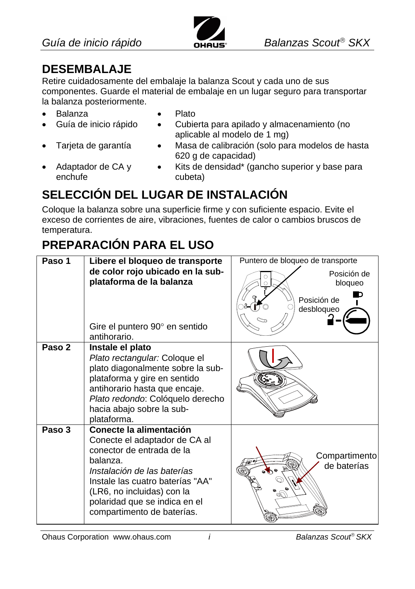

## **DESEMBALAJE**

Retire cuidadosamente del embalaje la balanza Scout y cada uno de sus componentes. Guarde el material de embalaje en un lugar seguro para transportar la balanza posteriormente.

aplicable al modelo de 1 mg)

- Balanza Plato
	-
- Guía de inicio rápido Cubierta para apilado y almacenamiento (no
- 
- 
- Tarjeta de garantía Masa de calibración (solo para modelos de hasta 620 g de capacidad)
- Adaptador de CA y enchufe
- Kits de densidad\* (gancho superior y base para cubeta)

# **SELECCIÓN DEL LUGAR DE INSTALACIÓN**

Coloque la balanza sobre una superficie firme y con suficiente espacio. Evite el exceso de corrientes de aire, vibraciones, fuentes de calor o cambios bruscos de temperatura.

# **PREPARACIÓN PARA EL USO**

| Paso 1 | Libere el bloqueo de transporte                                                                                                                                                                                                                                   | Puntero de bloqueo de transporte                    |
|--------|-------------------------------------------------------------------------------------------------------------------------------------------------------------------------------------------------------------------------------------------------------------------|-----------------------------------------------------|
|        | de color rojo ubicado en la sub-<br>plataforma de la balanza<br>Gire el puntero 90° en sentido<br>antihorario.                                                                                                                                                    | Posición de<br>bloqueo<br>Posición de<br>desbloqueo |
| Paso 2 | Instale el plato<br>Plato rectangular: Coloque el<br>plato diagonalmente sobre la sub-<br>plataforma y gire en sentido<br>antihorario hasta que encaje.<br>Plato redondo: Colóquelo derecho<br>hacia abajo sobre la sub-<br>plataforma.                           |                                                     |
| Paso 3 | Conecte la alimentación<br>Conecte el adaptador de CA al<br>conector de entrada de la<br>balanza.<br>Instalación de las baterías<br>Instale las cuatro baterías "AA"<br>(LR6, no incluidas) con la<br>polaridad que se indica en el<br>compartimento de baterías. | Compartimento<br>de baterías                        |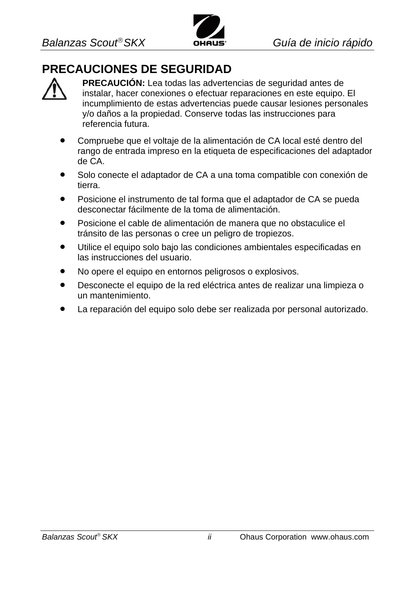

### **PRECAUCIONES DE SEGURIDAD**



**PRECAUCIÓN:** Lea todas las advertencias de seguridad antes de instalar, hacer conexiones o efectuar reparaciones en este equipo. El incumplimiento de estas advertencias puede causar lesiones personales y/o daños a la propiedad. Conserve todas las instrucciones para referencia futura.

- Compruebe que el voltaje de la alimentación de CA local esté dentro del rango de entrada impreso en la etiqueta de especificaciones del adaptador de CA.
- Solo conecte el adaptador de CA a una toma compatible con conexión de tierra.
- Posicione el instrumento de tal forma que el adaptador de CA se pueda desconectar fácilmente de la toma de alimentación.
- Posicione el cable de alimentación de manera que no obstaculice el tránsito de las personas o cree un peligro de tropiezos.
- Utilice el equipo solo bajo las condiciones ambientales especificadas en las instrucciones del usuario.
- No opere el equipo en entornos peligrosos o explosivos.
- Desconecte el equipo de la red eléctrica antes de realizar una limpieza o un mantenimiento.
- La reparación del equipo solo debe ser realizada por personal autorizado.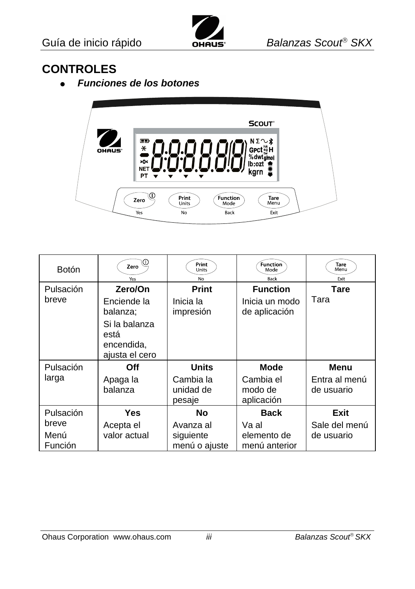

### **CONTROLES**

*Funciones de los botones*



| <b>Botón</b>    | ïω<br>Zero<br>Yes                                                                | Print<br>Units<br>No             | Function<br>Mode<br>Back           | Tare<br>Menu<br>Exit        |
|-----------------|----------------------------------------------------------------------------------|----------------------------------|------------------------------------|-----------------------------|
| Pulsación       | Zero/On                                                                          | Print                            | <b>Function</b>                    | Tare                        |
| breve           | Enciende la<br>balanza;<br>Si la balanza<br>está<br>encendida,<br>ajusta el cero | Inicia la<br>impresión           | Inicia un modo<br>de aplicación    | Tara                        |
| Pulsación       | Off                                                                              | <b>Units</b>                     | Mode                               | Menu                        |
| larga           | Apaga la<br>balanza                                                              | Cambia la<br>unidad de<br>pesaje | Cambia el<br>modo de<br>aplicación | Entra al menú<br>de usuario |
| Pulsación       | <b>Yes</b>                                                                       | No                               | <b>Back</b>                        | Exit                        |
| breve           | Acepta el                                                                        | Avanza al                        | Va al                              | Sale del menú               |
| Menú<br>Función | valor actual                                                                     | siguiente<br>menú o ajuste       | elemento de<br>menú anterior       | de usuario                  |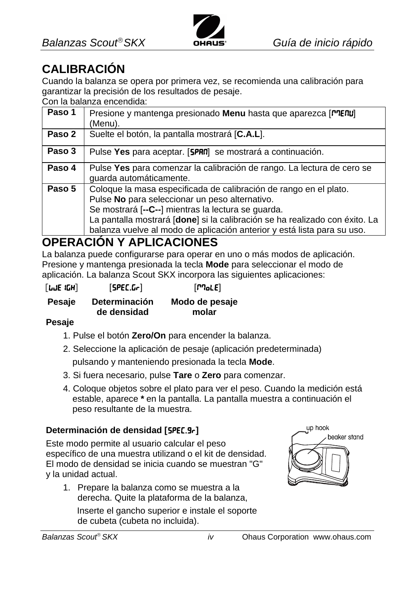

# **CALIBRACIÓN**

Cuando la balanza se opera por primera vez, se recomienda una calibración para garantizar la precisión de los resultados de pesaje.

Con la balanza encendida:

| Paso 1 | Presione y mantenga presionado <b>Menu</b> hasta que aparezca [ <b>PRE</b><br>(Menu).                                                                                                                                                                                                                                               |
|--------|-------------------------------------------------------------------------------------------------------------------------------------------------------------------------------------------------------------------------------------------------------------------------------------------------------------------------------------|
| Paso 2 | Suelte el botón, la pantalla mostrará [C.A.L].                                                                                                                                                                                                                                                                                      |
| Paso 3 | Pulse Yes para aceptar. [5PRN] se mostrará a continuación.                                                                                                                                                                                                                                                                          |
| Paso 4 | Pulse Yes para comenzar la calibración de rango. La lectura de cero se<br>quarda automáticamente.                                                                                                                                                                                                                                   |
| Paso 5 | Coloque la masa especificada de calibración de rango en el plato.<br>Pulse No para seleccionar un peso alternativo.<br>Se mostrará [--C--] mientras la lectura se guarda.<br>La pantalla mostrará [done] si la calibración se ha realizado con éxito. La<br>balanza vuelve al modo de aplicación anterior y está lista para su uso. |

### **OPERACIÓN Y APLICACIONES**

La balanza puede configurarse para operar en uno o más modos de aplicación. Presione y mantenga presionada la tecla **Mode** para seleccionar el modo de aplicación. La balanza Scout SKX incorpora las siguientes aplicaciones:

| [UJE 1GH] | [SPEC.Gr]            | [170c]         |
|-----------|----------------------|----------------|
| Pesaje    | <b>Determinación</b> | Modo de pesaje |
|           | de densidad          | molar          |

#### **Pesaje**

- 1. Pulse el botón **Zero/On** para encender la balanza.
- 2. Seleccione la aplicación de pesaje (aplicación predeterminada)

pulsando y manteniendo presionada la tecla **Mode**.

- 3. Si fuera necesario, pulse **Tare** o **Zero** para comenzar.
- 4. Coloque objetos sobre el plato para ver el peso. Cuando la medición está estable, aparece **\*** en la pantalla. La pantalla muestra a continuación el peso resultante de la muestra.

#### **Determinación de densidad [**SPEC.gr**]**

Este modo permite al usuario calcular el peso específico de una muestra utilizand o el kit de densidad. El modo de densidad se inicia cuando se muestran "G" y la unidad actual.

1. Prepare la balanza como se muestra a la derecha. Quite la plataforma de la balanza,

Inserte el gancho superior e instale el soporte de cubeta (cubeta no incluida).

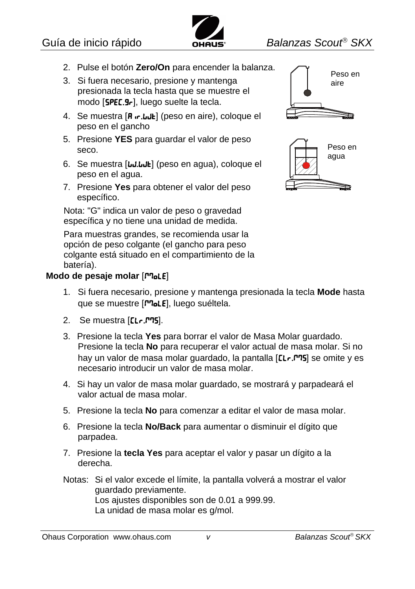

- 2. Pulse el botón **Zero/On** para encender la balanza.
- 3. Si fuera necesario, presione y mantenga presionada la tecla hasta que se muestre el modo [SPEC.9-], luego suelte la tecla.
- 4. Se muestra  $[R \cdot r \cdot \text{Lul}]$  (peso en aire), coloque el peso en el gancho
- 5. Presione **YES** para guardar el valor de peso seco.
- 6. Se muestra [*w.wk]* (peso en agua), coloque el peso en el agua.
- 7. Presione **Yes** para obtener el valor del peso específico.

Nota: "G" indica un valor de peso o gravedad específica y no tiene una unidad de medida.

Para muestras grandes, se recomienda usar la opción de peso colgante (el gancho para peso colgante está situado en el compartimiento de la batería).

#### **Modo de pesaje molar [MoLE]**





- 1. Si fuera necesario, presione y mantenga presionada la tecla **Mode** hasta que se muestre [ro]. luego suéltela.
- 2. Se muestra [[Lr.P].
- 3. Presione la tecla **Yes** para borrar el valor de Masa Molar guardado. Presione la tecla **No** para recuperar el valor actual de masa molar. Si no hay un valor de masa molar guardado, la pantalla [CLr.<sup>m</sup>] se omite y es necesario introducir un valor de masa molar.
- 4. Si hay un valor de masa molar guardado, se mostrará y parpadeará el valor actual de masa molar.
- 5. Presione la tecla **No** para comenzar a editar el valor de masa molar.
- 6. Presione la tecla **No/Back** para aumentar o disminuir el dígito que parpadea.
- 7. Presione la **tecla Yes** para aceptar el valor y pasar un dígito a la derecha.
- Notas: Si el valor excede el límite, la pantalla volverá a mostrar el valor guardado previamente. Los ajustes disponibles son de 0.01 a 999.99. La unidad de masa molar es g/mol.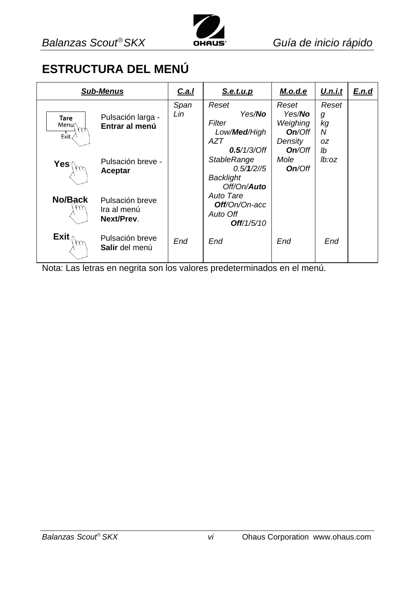

### **ESTRUCTURA DEL MENÚ**

|                              | <b>Sub-Menus</b>                             | C.a.I       | S.e.t.u.p                                                                                        | M.o.d.e                                                  | U.n.i.t                     | E.n.d |
|------------------------------|----------------------------------------------|-------------|--------------------------------------------------------------------------------------------------|----------------------------------------------------------|-----------------------------|-------|
| <b>Tare</b><br>Menu<br>Exit. | Pulsación larga -<br>Entrar al menú          | Span<br>Lin | Reset<br>Yes/ <b>No</b><br>Filter<br>Low/ <b>Med</b> /High<br>AZT                                | Reset<br>Yes/ <b>No</b><br>Weighing<br>On/Off<br>Density | Reset<br>g<br>kg<br>N<br>0Z |       |
| Yes (                        | Pulsación breve -<br>Aceptar                 |             | $0.5/1/3$ /Off<br><b>StableRange</b><br>$0.5/1/2$ //5<br><b>Backlight</b><br>Off/On/ <b>Auto</b> | On/Off<br>Mole<br>On/Off                                 | lb<br>lb:oz                 |       |
| No/Back                      | Pulsación breve<br>Ira al menú<br>Next/Prev. |             | Auto Tare<br><b>Off</b> /On/On-acc<br>Auto Off<br>Off/1/5/10                                     |                                                          |                             |       |
| Exit                         | Pulsación breve<br>Salir del menú            | End         | End                                                                                              | End                                                      | End                         |       |

Nota: Las letras en negrita son los valores predeterminados en el menú.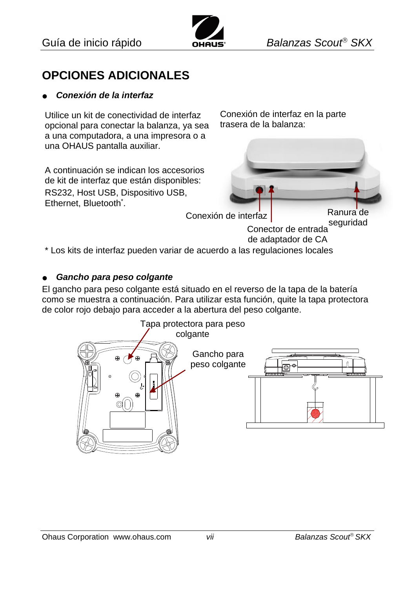

### **OPCIONES ADICIONALES**

#### *Conexión de la interfaz*

Utilice un kit de conectividad de interfaz opcional para conectar la balanza, ya sea a una computadora, a una impresora o a una OHAUS pantalla auxiliar.

A continuación se indican los accesorios de kit de interfaz que están disponibles: RS232, Host USB, Dispositivo USB, Ethernet, Bluetooth<sup>\*</sup>.

Conexión de interfaz en la parte trasera de la balanza:



Conector de entrada de adaptador de CA

\* Los kits de interfaz pueden variar de acuerdo a las regulaciones locales

#### *Gancho para peso colgante*

El gancho para peso colgante está situado en el reverso de la tapa de la batería como se muestra a continuación. Para utilizar esta función, quite la tapa protectora de color rojo debajo para acceder a la abertura del peso colgante.

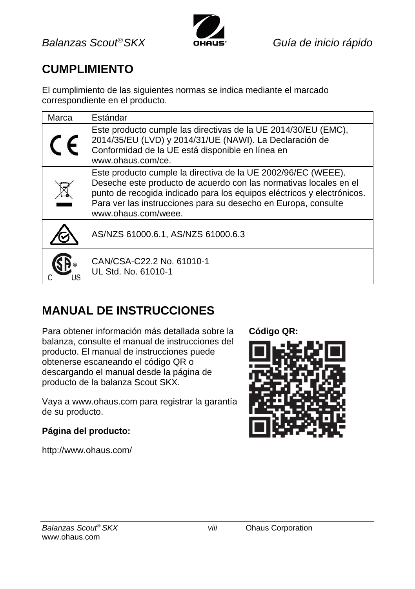

### **CUMPLIMIENTO**

El cumplimiento de las siguientes normas se indica mediante el marcado correspondiente en el producto.

| Marca | Estándar                                                                                                                                                                                                                                                                                              |
|-------|-------------------------------------------------------------------------------------------------------------------------------------------------------------------------------------------------------------------------------------------------------------------------------------------------------|
|       | Este producto cumple las directivas de la UE 2014/30/EU (EMC).<br>2014/35/EU (LVD) y 2014/31/UE (NAWI). La Declaración de<br>Conformidad de la UE está disponible en línea en<br>www.ohaus.com/ce.                                                                                                    |
|       | Este producto cumple la directiva de la UE 2002/96/EC (WEEE).<br>Deseche este producto de acuerdo con las normativas locales en el<br>punto de recogida indicado para los equipos eléctricos y electrónicos.<br>Para ver las instrucciones para su desecho en Europa, consulte<br>www.ohaus.com/weee. |
|       | AS/NZS 61000.6.1, AS/NZS 61000.6.3                                                                                                                                                                                                                                                                    |
|       | CAN/CSA-C22.2 No. 61010-1<br>UL Std. No. 61010-1                                                                                                                                                                                                                                                      |

### **MANUAL DE INSTRUCCIONES**

Para obtener información más detallada sobre la balanza, consulte el manual de instrucciones del producto. El manual de instrucciones puede obtenerse escaneando el código QR o descargando el manual desde la página de producto de la balanza Scout SKX.

Vaya a www.ohaus.com para registrar la garantía de su producto.

#### **Página del producto:**

http://www.ohaus.com/

**Código QR:**

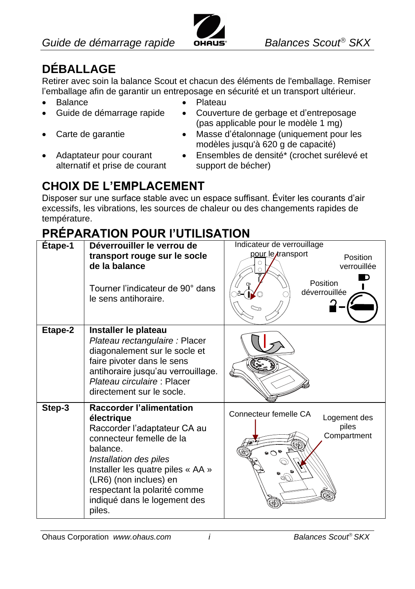

# **DÉBALLAGE**

Retirer avec soin la balance Scout et chacun des éléments de l'emballage. Remiser l'emballage afin de garantir un entreposage en sécurité et un transport ultérieur.

- 
- 
- 
- Adaptateur pour courant alternatif et prise de courant
- Balance **Calculate Contract Contract Contract Contract Contract Contract Contract Contract Contract Contract Contract Contract Contract Contract Contract Contract Contract Contract Contract Contract Contract Contract Contr**
- Guide de démarrage rapide Couverture de gerbage et d'entreposage (pas applicable pour le modèle 1 mg)
- Carte de garantie Masse d'étalonnage (uniquement pour les modèles jusqu'à 620 g de capacité)
	- Ensembles de densité\* (crochet surélevé et support de bécher)

# **CHOIX DE L'EMPLACEMENT**

Disposer sur une surface stable avec un espace suffisant. Éviter les courants d'air excessifs, les vibrations, les sources de chaleur ou des changements rapides de température.

# **PRÉPARATION POUR l'UTILISATION**

| Etape-1 | Déverrouiller le verrou de<br>transport rouge sur le socle<br>de la balance<br>Tourner l'indicateur de 90° dans<br>le sens antihoraire.                                                                                                                                                  | Indicateur de verrouillage<br>pour le transport<br><b>Position</b><br>verrouillée<br>Position<br>déverrouillée |
|---------|------------------------------------------------------------------------------------------------------------------------------------------------------------------------------------------------------------------------------------------------------------------------------------------|----------------------------------------------------------------------------------------------------------------|
| Etape-2 | Installer le plateau<br>Plateau rectangulaire : Placer<br>diagonalement sur le socle et<br>faire pivoter dans le sens<br>antihoraire jusqu'au verrouillage.<br>Plateau circulaire: Placer<br>directement sur le socle.                                                                   |                                                                                                                |
| Step-3  | <b>Raccorder l'alimentation</b><br>électrique<br>Raccorder l'adaptateur CA au<br>connecteur femelle de la<br>balance.<br>Installation des piles<br>Installer les quatre piles « AA »<br>(LR6) (non inclues) en<br>respectant la polarité comme<br>indiqué dans le logement des<br>piles. | Connecteur femelle CA<br>Logement des<br>piles<br>Compartment                                                  |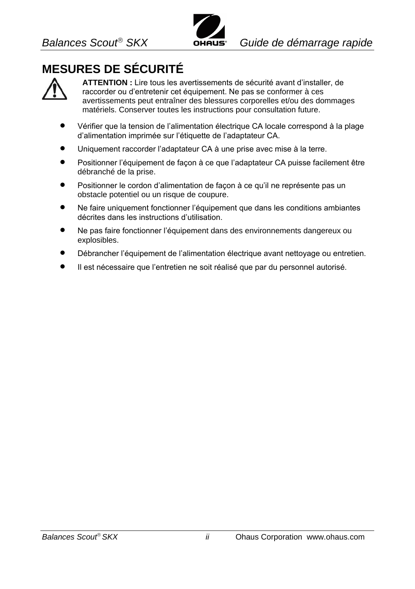

# **MESURES DE SÉCURITÉ**



**ATTENTION :** Lire tous les avertissements de sécurité avant d'installer, de raccorder ou d'entretenir cet équipement. Ne pas se conformer à ces avertissements peut entraîner des blessures corporelles et/ou des dommages matériels. Conserver toutes les instructions pour consultation future.

- Vérifier que la tension de l'alimentation électrique CA locale correspond à la plage d'alimentation imprimée sur l'étiquette de l'adaptateur CA.
- Uniquement raccorder l'adaptateur CA à une prise avec mise à la terre.
- Positionner l'équipement de façon à ce que l'adaptateur CA puisse facilement être débranché de la prise.
- Positionner le cordon d'alimentation de façon à ce qu'il ne représente pas un obstacle potentiel ou un risque de coupure.
- Ne faire uniquement fonctionner l'équipement que dans les conditions ambiantes décrites dans les instructions d'utilisation.
- Ne pas faire fonctionner l'équipement dans des environnements dangereux ou explosibles.
- Débrancher l'équipement de l'alimentation électrique avant nettoyage ou entretien.
- Il est nécessaire que l'entretien ne soit réalisé que par du personnel autorisé.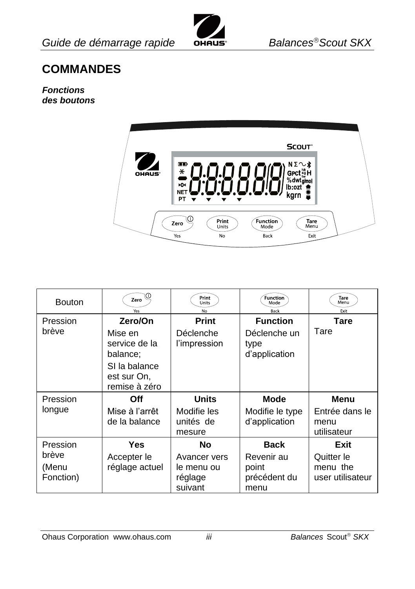

### **COMMANDES**

#### *Fonctions des boutons*



| <b>Bouton</b>                           | Zero<br>Yes                                                                                      | Print<br>Units<br>No                               | Function<br>Mode<br>Back                                 | Tare<br>Menu<br>Exit                               |
|-----------------------------------------|--------------------------------------------------------------------------------------------------|----------------------------------------------------|----------------------------------------------------------|----------------------------------------------------|
| Pression<br>brève                       | Zero/On<br>Mise en<br>service de la<br>balance:<br>SI la balance<br>est sur On,<br>remise à zéro | Print<br>Déclenche<br>l'impression                 | <b>Function</b><br>Déclenche un<br>type<br>d'application | Tare<br>Tare                                       |
| Pression<br>longue                      | Off<br>Mise à l'arrêt<br>de la balance                                                           | <b>Units</b><br>Modifie les<br>unités de<br>mesure | Mode<br>Modifie le type<br>d'application                 | Menu<br>Entrée dans le<br>menu<br>utilisateur      |
| Pression<br>brève<br>(Menu<br>Fonction) | Yes<br>Accepter le<br>réglage actuel                                                             | <b>No</b><br>Avancer vers<br>le menu ou<br>réglage | <b>Back</b><br>Revenir au<br>point<br>précédent du       | Exit<br>Quitter le<br>menu the<br>user utilisateur |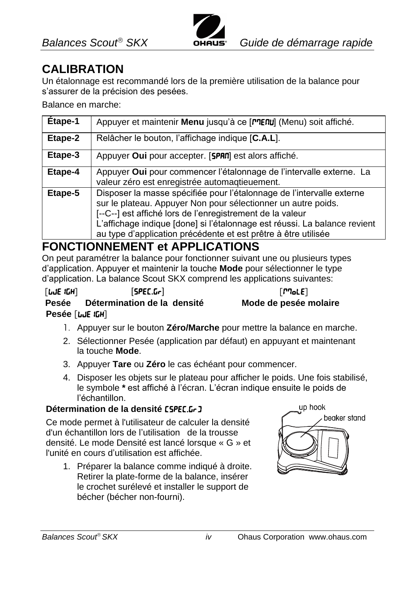

### **CALIBRATION**

Un étalonnage est recommandé lors de la première utilisation de la balance pour s'assurer de la précision des pesées.

Balance en marche:

| Etape-1 | Appuyer et maintenir Menu jusqu'à ce [MENU] (Menu) soit affiché.                                                                                                                                                                                                                                                                                   |
|---------|----------------------------------------------------------------------------------------------------------------------------------------------------------------------------------------------------------------------------------------------------------------------------------------------------------------------------------------------------|
| Etape-2 | Relâcher le bouton, l'affichage indique [C.A.L].                                                                                                                                                                                                                                                                                                   |
| Etape-3 | Appuyer Oui pour accepter. [SPRN] est alors affiché.                                                                                                                                                                                                                                                                                               |
| Etape-4 | Appuyer Oui pour commencer l'étalonnage de l'intervalle externe. La<br>valeur zéro est enregistrée automaqtieuement.                                                                                                                                                                                                                               |
| Etape-5 | Disposer la masse spécifiée pour l'étalonnage de l'intervalle externe<br>sur le plateau. Appuyer Non pour sélectionner un autre poids.<br>[--C--] est affiché lors de l'enregistrement de la valeur<br>L'affichage indique [done] si l'étalonnage est réussi. La balance revient<br>au type d'application précédente et est prêtre à être utilisée |

### **FONCTIONNEMENT et APPLICATIONS**

On peut paramétrer la balance pour fonctionner suivant une ou plusieurs types d'application. Appuyer et maintenir la touche **Mode** pour sélectionner le type d'application. La balance Scout SKX comprend les applications suivantes:

| [LJE 1GH]       | [SPEC.Gr]                         | $\lceil$ $P$ $\lceil$ oLE $\rceil$ |
|-----------------|-----------------------------------|------------------------------------|
|                 | Pesée Détermination de la densité | Mode de pesée                      |
| Pesée [LJE ICH] |                                   |                                    |

- 1. Appuyer sur le bouton **Zéro/Marche** pour mettre la balance en marche.
- 2. Sélectionner Pesée (application par défaut) en appuyant et maintenant la touche **Mode**.
- 3. Appuyer **Tare** ou **Zéro** le cas échéant pour commencer.
- 4. Disposer les objets sur le plateau pour afficher le poids. Une fois stabilisé, le symbole **\*** est affiché à l'écran. L'écran indique ensuite le poids de l'échantillon.

#### **Détermination de la densité [SPEC.Gr]**

Ce mode permet à l'utilisateur de calculer la densité d'un échantillon lors de l'utilisation de la trousse densité. Le mode Densité est lancé lorsque «G » et l'unité en cours d'utilisation est affichée.

1. Préparer la balance comme indiqué à droite. Retirer la plate-forme de la balance, insérer le crochet surélevé et installer le support de bécher (bécher non-fourni).



**Pesée Détermination de la densité Mode de pesée molaire**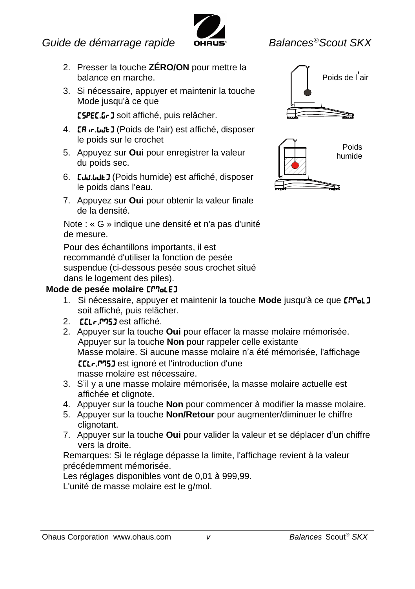

- 2. Presser la touche **ZÉRO/ON** pour mettre la balance en marche.
- 3. Si nécessaire, appuyer et maintenir la touche Mode jusqu'à ce que

[SPEC.Gr] soit affiché, puis relâcher.

- 4. **[R in: Lult]** (Poids de l'air) est affiché, disposer le poids sur le crochet
- 5. Appuyez sur **Oui** pour enregistrer la valeur du poids sec.
- 6. **[JJJLJL]** (Poids humide) est affiché, disposer le poids dans l'eau.
- 7. Appuyez sur **Oui** pour obtenir la valeur finale de la densité.

Note : «G » indique une densité et n'a pas d'unité de mesure.

Pour des échantillons importants, il est recommandé d'utiliser la fonction de pesée suspendue (ci-dessous pesée sous crochet situé dans le logement des piles).

#### **Mode de pesée molaire [moLE]**

- 1. Si nécessaire, appuyer et maintenir la touche Mode jusqu'à ce que **[PPol]** soit affiché, puis relâcher.
- 2. **[CLr.P75]** est affiché.
- 2. Appuyer sur la touche **Oui** pour effacer la masse molaire mémorisée. Appuyer sur la touche **Non** pour rappeler celle existante Masse molaire. Si aucune masse molaire n'a été mémorisée, l'affichage [Clr.mMS] est ignoré et l'introduction d'une

masse molaire est nécessaire.

- 3. S'il y a une masse molaire mémorisée, la masse molaire actuelle est affichée et clignote.
- 4. Appuyer sur la touche **Non** pour commencer à modifier la masse molaire.
- 5. Appuyer sur la touche **Non/Retour** pour augmenter/diminuer le chiffre clignotant.
- 7. Appuyer sur la touche **Oui** pour valider la valeur et se déplacer d'un chiffre vers la droite.

Remarques: Si le réglage dépasse la limite, l'affichage revient à la valeur précédemment mémorisée.

Les réglages disponibles vont de 0,01 à 999,99.

L'unité de masse molaire est le g/mol.





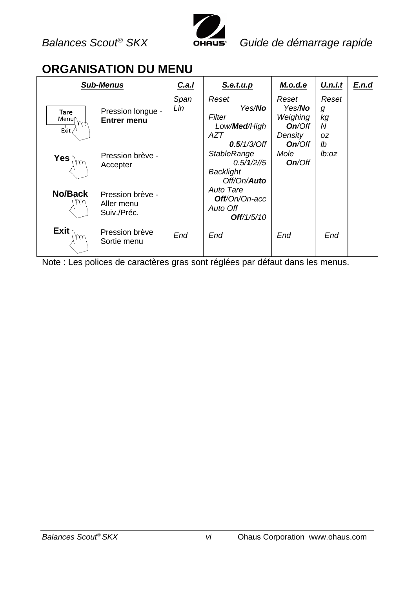### **ORGANISATION DU MENU**

| <b>Sub-Menus</b>                      |                                               | C.a.I       | S.e.t.u.p                                                                                 | M.o.d.e                                                  | U.n.i.t                     | E.n.d |
|---------------------------------------|-----------------------------------------------|-------------|-------------------------------------------------------------------------------------------|----------------------------------------------------------|-----------------------------|-------|
| <b>Tare</b><br>$Menu \sim h$<br>Exit, | Pression longue -<br>Entrer menu              | Span<br>Lin | Reset<br>Yes/ <b>No</b><br>Filter<br>Low/ <b>Med</b> /High<br>AZT                         | Reset<br>Yes/ <b>No</b><br>Weighing<br>On/Off<br>Density | Reset<br>g<br>kg<br>N<br>0Z |       |
| Yes (                                 | Pression brève -<br>Accepter                  |             | $0.5/1/3$ /Off<br><b>StableRange</b><br>$0.5/1/2$ //5<br>Backlight<br>Off/On/ <b>Auto</b> | On/Off<br>Mole<br>On/Off                                 | lb<br>lb:oz                 |       |
| No/Back                               | Pression brève -<br>Aller menu<br>Suiv./Préc. |             | Auto Tare<br><b>Off</b> /On/On-acc<br>Auto Off<br>Off/1/5/10                              |                                                          |                             |       |
| Exit (                                | Pression brève<br>Sortie menu                 | End         | End                                                                                       | End                                                      | End                         |       |

Note : Les polices de caractères gras sont réglées par défaut dans les menus.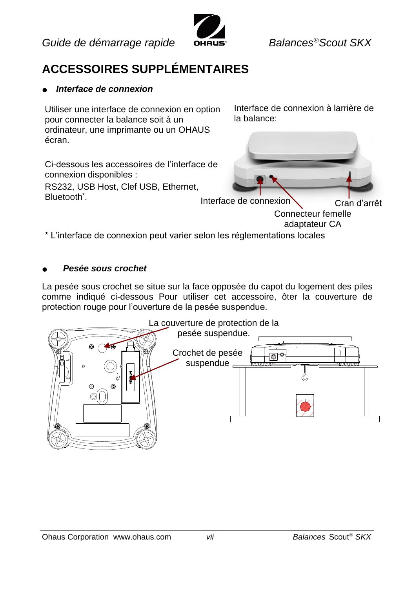

## **ACCESSOIRES SUPPLÉMENTAIRES**

#### *Interface de connexion*

Utiliser une interface de connexion en option pour connecter la balance soit à un ordinateur, une imprimante ou un OHAUS écran.

Ci-dessous les accessoires de l'interface de

RS232, USB Host, Clef USB, Ethernet,

Interface de connexion à larrière de la balance:



adaptateur CA

\* L'interface de connexion peut varier selon les réglementations locales

#### *Pesée sous crochet*

connexion disponibles :

Bluetooth<sup>\*</sup>.

La pesée sous crochet se situe sur la face opposée du capot du logement des piles comme indiqué ci-dessous Pour utiliser cet accessoire, ôter la couverture de protection rouge pour l'ouverture de la pesée suspendue.